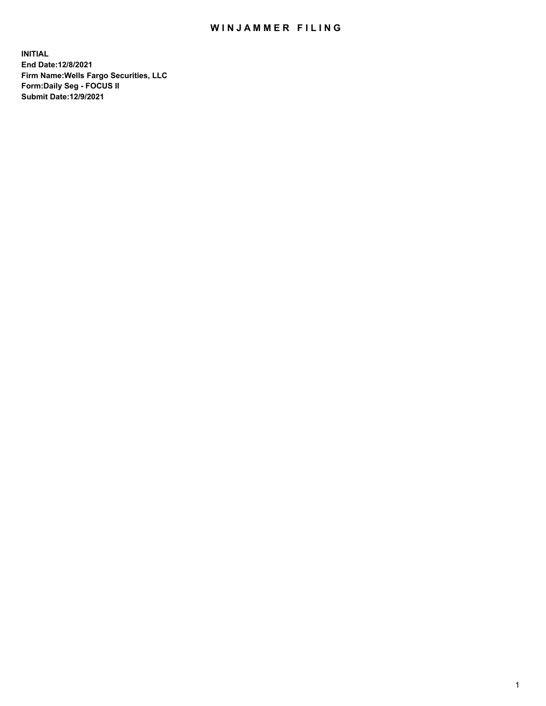## WIN JAMMER FILING

**INITIAL End Date:12/8/2021 Firm Name:Wells Fargo Securities, LLC Form:Daily Seg - FOCUS II Submit Date:12/9/2021**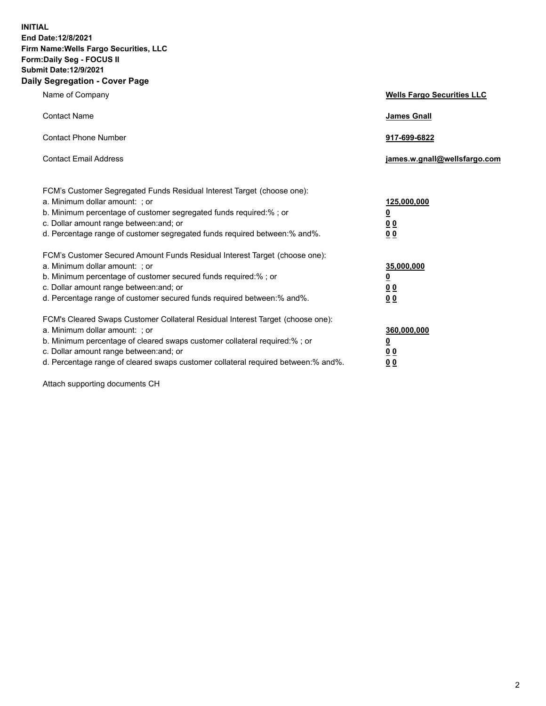**INITIAL End Date:12/8/2021 Firm Name:Wells Fargo Securities, LLC Form:Daily Seg - FOCUS II Submit Date:12/9/2021 Daily Segregation - Cover Page**

| Name of Company                                                                                                                                                                                                                                                                                                                | <b>Wells Fargo Securities LLC</b>                           |
|--------------------------------------------------------------------------------------------------------------------------------------------------------------------------------------------------------------------------------------------------------------------------------------------------------------------------------|-------------------------------------------------------------|
| <b>Contact Name</b>                                                                                                                                                                                                                                                                                                            | <b>James Gnall</b>                                          |
| <b>Contact Phone Number</b>                                                                                                                                                                                                                                                                                                    | 917-699-6822                                                |
| <b>Contact Email Address</b>                                                                                                                                                                                                                                                                                                   | james.w.gnall@wellsfargo.com                                |
| FCM's Customer Segregated Funds Residual Interest Target (choose one):<br>a. Minimum dollar amount: ; or<br>b. Minimum percentage of customer segregated funds required:% ; or<br>c. Dollar amount range between: and; or<br>d. Percentage range of customer segregated funds required between:% and%.                         | 125,000,000<br><u>0</u><br>0 <sub>0</sub><br>0 <sub>0</sub> |
| FCM's Customer Secured Amount Funds Residual Interest Target (choose one):<br>a. Minimum dollar amount: ; or<br>b. Minimum percentage of customer secured funds required:%; or<br>c. Dollar amount range between: and; or<br>d. Percentage range of customer secured funds required between:% and%.                            | 35,000,000<br><u>0</u><br>00<br>0 <sub>0</sub>              |
| FCM's Cleared Swaps Customer Collateral Residual Interest Target (choose one):<br>a. Minimum dollar amount: ; or<br>b. Minimum percentage of cleared swaps customer collateral required:% ; or<br>c. Dollar amount range between: and; or<br>d. Percentage range of cleared swaps customer collateral required between:% and%. | 360,000,000<br><u>0</u><br>0 <sub>0</sub><br>00             |

Attach supporting documents CH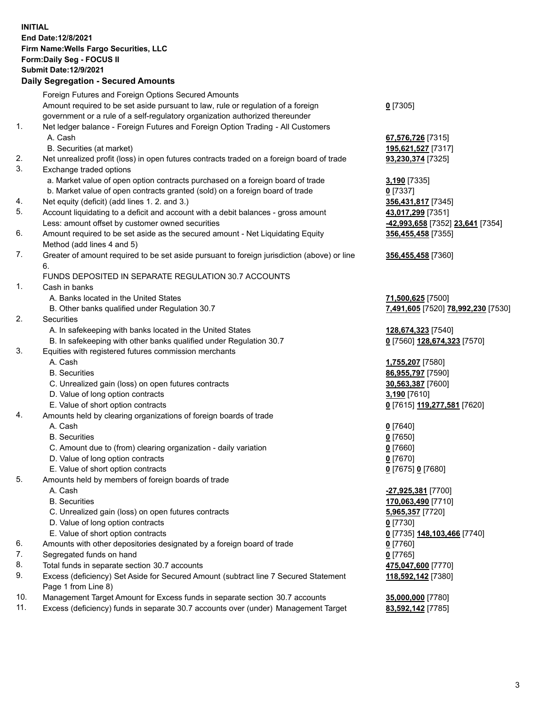**INITIAL End Date:12/8/2021 Firm Name:Wells Fargo Securities, LLC Form:Daily Seg - FOCUS II Submit Date:12/9/2021**

## **Daily Segregation - Secured Amounts**

|     | Foreign Futures and Foreign Options Secured Amounts                                                          |                                                   |
|-----|--------------------------------------------------------------------------------------------------------------|---------------------------------------------------|
| 1.  | Amount required to be set aside pursuant to law, rule or regulation of a foreign                             | $0$ [7305]                                        |
|     | government or a rule of a self-regulatory organization authorized thereunder                                 |                                                   |
|     | Net ledger balance - Foreign Futures and Foreign Option Trading - All Customers                              |                                                   |
|     | A. Cash                                                                                                      | 67,576,726 [7315]                                 |
|     | B. Securities (at market)                                                                                    | 195,621,527 [7317]                                |
| 2.  | Net unrealized profit (loss) in open futures contracts traded on a foreign board of trade                    | 93,230,374 [7325]                                 |
| 3.  | Exchange traded options                                                                                      |                                                   |
|     | a. Market value of open option contracts purchased on a foreign board of trade                               | 3,190 [7335]                                      |
|     | b. Market value of open contracts granted (sold) on a foreign board of trade                                 | $0$ [7337]                                        |
| 4.  | Net equity (deficit) (add lines 1. 2. and 3.)                                                                | 356,431,817 [7345]                                |
| 5.  | Account liquidating to a deficit and account with a debit balances - gross amount                            | 43,017,299 [7351]                                 |
|     | Less: amount offset by customer owned securities                                                             |                                                   |
| 6.  |                                                                                                              | <mark>-42,993,658</mark> [7352] 23,641 [7354]     |
|     | Amount required to be set aside as the secured amount - Net Liquidating Equity<br>Method (add lines 4 and 5) | 356,455,458 [7355]                                |
| 7.  | Greater of amount required to be set aside pursuant to foreign jurisdiction (above) or line<br>6.            | 356,455,458 [7360]                                |
|     | FUNDS DEPOSITED IN SEPARATE REGULATION 30.7 ACCOUNTS                                                         |                                                   |
| 1.  | Cash in banks                                                                                                |                                                   |
|     | A. Banks located in the United States                                                                        | 71,500,625 [7500]                                 |
|     | B. Other banks qualified under Regulation 30.7                                                               | 7,491,605 [7520] 78,992,230 [7530]                |
| 2.  | <b>Securities</b>                                                                                            |                                                   |
|     | A. In safekeeping with banks located in the United States                                                    | 128,674,323 [7540]                                |
|     | B. In safekeeping with other banks qualified under Regulation 30.7                                           | 0 [7560] 128,674,323 [7570]                       |
| 3.  | Equities with registered futures commission merchants                                                        |                                                   |
|     | A. Cash                                                                                                      | 1,755,207 [7580]                                  |
|     | <b>B.</b> Securities                                                                                         | 86,955,797 [7590]                                 |
|     |                                                                                                              |                                                   |
|     | C. Unrealized gain (loss) on open futures contracts                                                          | 30,563,387 [7600]                                 |
|     | D. Value of long option contracts                                                                            | 3,190 [7610]                                      |
|     | E. Value of short option contracts                                                                           | 0 [7615] 119,277,581 [7620]                       |
| 4.  | Amounts held by clearing organizations of foreign boards of trade                                            |                                                   |
|     | A. Cash                                                                                                      | $0$ [7640]                                        |
|     | <b>B.</b> Securities                                                                                         | $0$ [7650]                                        |
|     | C. Amount due to (from) clearing organization - daily variation                                              | $0$ [7660]                                        |
|     | D. Value of long option contracts                                                                            | $0$ [7670]                                        |
|     | E. Value of short option contracts                                                                           | 0 [7675] 0 [7680]                                 |
| 5.  | Amounts held by members of foreign boards of trade                                                           |                                                   |
|     | A. Cash                                                                                                      | -27,925,381 [7700]                                |
|     | <b>B.</b> Securities                                                                                         | 170,063,490 [7710]                                |
|     | C. Unrealized gain (loss) on open futures contracts                                                          | 5,965,357 [7720]                                  |
|     | D. Value of long option contracts                                                                            | $0$ [7730]                                        |
|     | E. Value of short option contracts                                                                           | 0 <sup>[7735]</sup> 148,103,466 <sup>[7740]</sup> |
| 6.  | Amounts with other depositories designated by a foreign board of trade                                       | $0$ [7760]                                        |
| 7.  | Segregated funds on hand                                                                                     | $0$ [7765]                                        |
| 8.  | Total funds in separate section 30.7 accounts                                                                | 475,047,600 [7770]                                |
| 9.  | Excess (deficiency) Set Aside for Secured Amount (subtract line 7 Secured Statement<br>Page 1 from Line 8)   | 118,592,142 [7380]                                |
| 10. | Management Target Amount for Excess funds in separate section 30.7 accounts                                  | 35,000,000 [7780]                                 |
| 11. | Excess (deficiency) funds in separate 30.7 accounts over (under) Management Target                           | 83,592,142 [7785]                                 |
|     |                                                                                                              |                                                   |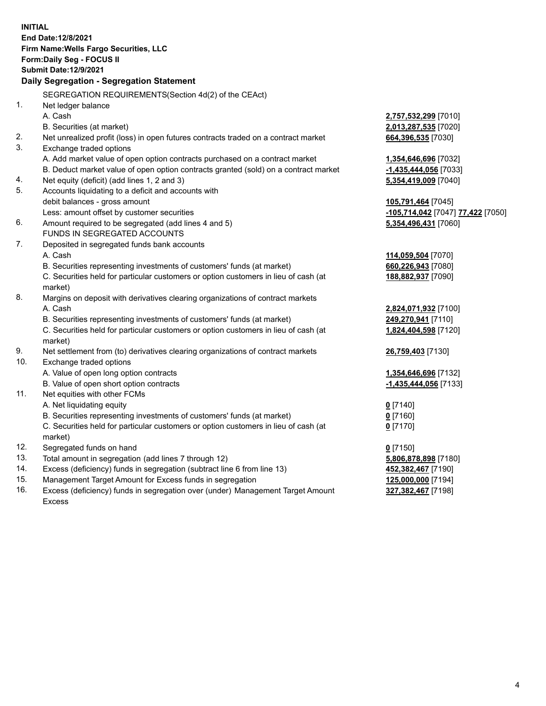**INITIAL End Date:12/8/2021 Firm Name:Wells Fargo Securities, LLC Form:Daily Seg - FOCUS II Submit Date:12/9/2021 Daily Segregation - Segregation Statement** SEGREGATION REQUIREMENTS(Section 4d(2) of the CEAct) 1. Net ledger balance A. Cash **2,757,532,299** [7010] B. Securities (at market) **2,013,287,535** [7020] 2. Net unrealized profit (loss) in open futures contracts traded on a contract market **664,396,535** [7030] 3. Exchange traded options A. Add market value of open option contracts purchased on a contract market **1,354,646,696** [7032] B. Deduct market value of open option contracts granted (sold) on a contract market **-1,435,444,056** [7033] 4. Net equity (deficit) (add lines 1, 2 and 3) **5,354,419,009** [7040] 5. Accounts liquidating to a deficit and accounts with debit balances - gross amount **105,791,464** [7045] Less: amount offset by customer securities **-105,714,042** [7047] **77,422** [7050] 6. Amount required to be segregated (add lines 4 and 5) **5,354,496,431** [7060] FUNDS IN SEGREGATED ACCOUNTS 7. Deposited in segregated funds bank accounts A. Cash **114,059,504** [7070] B. Securities representing investments of customers' funds (at market) **660,226,943** [7080] C. Securities held for particular customers or option customers in lieu of cash (at market) **188,882,937** [7090] 8. Margins on deposit with derivatives clearing organizations of contract markets A. Cash **2,824,071,932** [7100] B. Securities representing investments of customers' funds (at market) **249,270,941** [7110] C. Securities held for particular customers or option customers in lieu of cash (at market) **1,824,404,598** [7120] 9. Net settlement from (to) derivatives clearing organizations of contract markets **26,759,403** [7130] 10. Exchange traded options A. Value of open long option contracts **1,354,646,696** [7132] B. Value of open short option contracts **-1,435,444,056** [7133] 11. Net equities with other FCMs A. Net liquidating equity **0** [7140] B. Securities representing investments of customers' funds (at market) **0** [7160] C. Securities held for particular customers or option customers in lieu of cash (at market) **0** [7170] 12. Segregated funds on hand **0** [7150] 13. Total amount in segregation (add lines 7 through 12) **5,806,878,898** [7180] 14. Excess (deficiency) funds in segregation (subtract line 6 from line 13) **452,382,467** [7190] 15. Management Target Amount for Excess funds in segregation **125,000,000** [7194]

16. Excess (deficiency) funds in segregation over (under) Management Target Amount Excess

**327,382,467** [7198]